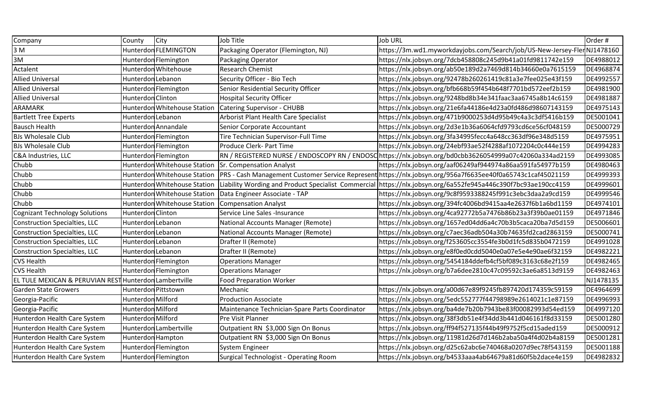| Company                                                | County              | City                         | Job Title                                             | <b>Job URL</b>                                                                                                   | Order#    |
|--------------------------------------------------------|---------------------|------------------------------|-------------------------------------------------------|------------------------------------------------------------------------------------------------------------------|-----------|
| 3 M                                                    |                     | Hunterdon FLEMINGTON         | Packaging Operator (Flemington, NJ)                   | https://3m.wd1.myworkdayjobs.com/Search/job/US-New-Jersey-FlerNJ1478160                                          |           |
| 3M                                                     |                     | Hunterdon Flemington         | Packaging Operator                                    | https://nlx.jobsyn.org/7dcb458808c245d9b41a01fd9811742e159                                                       | DE4988012 |
| Actalent                                               |                     | Hunterdon Whitehouse         | <b>Research Chemist</b>                               | https://nlx.jobsyn.org/ab50e189d2a7469d814b34660e0a7615159                                                       | DE4968874 |
| <b>Allied Universal</b>                                | Hunterdon Lebanon   |                              | Security Officer - Bio Tech                           | https://nlx.jobsyn.org/92478b260261419c81a3e7fee025e43f159                                                       | DE4992557 |
| <b>Allied Universal</b>                                |                     | Hunterdon Flemington         | Senior Residential Security Officer                   | https://nlx.jobsyn.org/bfb668b59f454b648f7701bd572eef2b159                                                       | DE4981900 |
| <b>Allied Universal</b>                                | Hunterdon Clinton   |                              | <b>Hospital Security Officer</b>                      | https://nlx.jobsyn.org/9248bd8b34e341faac3aa6745a8b14c6159                                                       | DE4981887 |
| <b>ARAMARK</b>                                         |                     | Hunterdon Whitehouse Station | <b>Catering Supervisor - CHUBB</b>                    | https://nlx.jobsyn.org/21e6fa44186e4d23a0fd486d98607143159                                                       | DE4975143 |
| <b>Bartlett Tree Experts</b>                           | Hunterdon Lebanon   |                              | <b>Arborist Plant Health Care Specialist</b>          | https://nlx.jobsyn.org/471b9000253d4d95b49c4a3c3df5416b159                                                       | DE5001041 |
| <b>Bausch Health</b>                                   |                     | Hunterdon Annandale          | Senior Corporate Accountant                           | https://nlx.jobsyn.org/2d3e1b36a6064cfd9793cd6ce56cf048159                                                       | DE5000729 |
| <b>BJs Wholesale Club</b>                              |                     | Hunterdon Flemington         | Tire Technician Supervisor-Full Time                  | https://nlx.jobsyn.org/3fa34995fecc4a648cc363df96e348d5159                                                       | DE4975951 |
| <b>BJs Wholesale Club</b>                              |                     | Hunterdon Flemington         | Produce Clerk- Part Time                              | https://nlx.jobsyn.org/24ebf93ae52f4288af1072204c0c444e159                                                       | DE4994283 |
| C&A Industries, LLC                                    |                     | Hunterdon Flemington         |                                                       | RN / REGISTERED NURSE / ENDOSCOPY RN / ENDOSC https://nlx.jobsyn.org/bd0cbb3626054999a07c42060a334ad2159         | DE4993085 |
| Chubb                                                  |                     |                              | Hunterdon Whitehouse Station Sr. Compensation Analyst | https://nlx.jobsyn.org/aaf06249af944974a86aa591fa54977b159                                                       | DE4980463 |
| Chubb                                                  |                     | Hunterdon Whitehouse Station |                                                       | PRS - Cash Management Customer Service Represent https://nlx.jobsyn.org/956a7f6635ee40f0a65743c1caf45021159      | DE4999393 |
| Chubb                                                  |                     | Hunterdon Whitehouse Station |                                                       | Liability Wording and Product Specialist Commercial   https://nlx.jobsyn.org/6a552fe945a446c390f7bc93ae190cc4159 | DE4999601 |
| Chubb                                                  |                     | Hunterdon Whitehouse Station | Data Engineer Associate - TAP                         | https://nlx.jobsyn.org/9c8f9593388245f991c3ebc3daa2a9cd159                                                       | DE4999546 |
| Chubb                                                  |                     | Hunterdon Whitehouse Station | <b>Compensation Analyst</b>                           | https://nlx.jobsyn.org/394fc4006bd9415aa4e2637f6b1a6bd1159                                                       | DE4974101 |
| <b>Cognizant Technology Solutions</b>                  | Hunterdon Clinton   |                              | Service Line Sales -Insurance                         | https://nlx.jobsyn.org/4ca92772b5a7476b86b23a3f39b0ae01159                                                       | DE4971846 |
| <b>Construction Specialties, LLC</b>                   | Hunterdon Lebanon   |                              | National Accounts Manager (Remote)                    | https://nlx.jobsyn.org/1657ed04dd6a4c70b3b5caca20ba7d5d159                                                       | DE5006601 |
| <b>Construction Specialties, LLC</b>                   | Hunterdon Lebanon   |                              | National Accounts Manager (Remote)                    | https://nlx.jobsyn.org/c7aec36adb504a30b74635fd2cad2863159                                                       | DE5000741 |
| <b>Construction Specialties, LLC</b>                   | Hunterdon Lebanon   |                              | Drafter II (Remote)                                   | https://nlx.jobsyn.org/f253605cc3554fe3b0d1fc5d835b0472159                                                       | DE4991028 |
| <b>Construction Specialties, LLC</b>                   | Hunterdon Lebanon   |                              | Drafter II (Remote)                                   | https://nlx.jobsyn.org/e8f0ed0cdd5040e0a07e5e4e90ae6f32159                                                       | DE4982221 |
| <b>CVS Health</b>                                      |                     | Hunterdon Flemington         | <b>Operations Manager</b>                             | https://nlx.jobsyn.org/5454184ddefb4cf5bf089c3163c68e2f159                                                       | DE4982465 |
| <b>CVS Health</b>                                      |                     | Hunterdon Flemington         | <b>Operations Manager</b>                             | https://nlx.jobsyn.org/b7a6dee2810c47c09592c3ae6a8513d9159                                                       | DE4982463 |
| EL TULE MEXICAN & PERUVIAN REST Hunterdon Lambertville |                     |                              | <b>Food Preparation Worker</b>                        |                                                                                                                  | NJ1478135 |
| <b>Garden State Growers</b>                            | Hunterdon Pittstown |                              | Mechanic                                              | https://nlx.jobsyn.org/a00d67e89f9245fb897420d174359c59159                                                       | DE4964699 |
| Georgia-Pacific                                        | Hunterdon Milford   |                              | <b>Production Associate</b>                           | https://nlx.jobsyn.org/5edc552777f44798989e2614021c1e87159                                                       | DE4996993 |
| Georgia-Pacific                                        | Hunterdon Milford   |                              | Maintenance Technician-Spare Parts Coordinator        | https://nlx.jobsyn.org/ba4de7b20b7943be83f00082993d54ed159                                                       | DE4997120 |
| Hunterdon Health Care System                           | Hunterdon Milford   |                              | Pre Visit Planner                                     | https://nlx.jobsyn.org/38f3db51e4f34dd3b441d046161f8d33159                                                       | DE5001280 |
| Hunterdon Health Care System                           |                     | Hunterdon Lambertville       | Outpatient RN \$3,000 Sign On Bonus                   | https://nlx.jobsyn.org/ff94f527135f44b49f9752f5cd15aded159                                                       | DE5000912 |
| Hunterdon Health Care System                           | Hunterdon Hampton   |                              | Outpatient RN \$3,000 Sign On Bonus                   | https://nlx.jobsyn.org/11981d26d7d146b2aba50a4f4d02b4a8159                                                       | DE5001281 |
| Hunterdon Health Care System                           |                     | Hunterdon Flemington         | System Engineer                                       | https://nlx.jobsyn.org/d25c62abc6e740468a0207d9ec78f543159                                                       | DE5001188 |
| Hunterdon Health Care System                           |                     | Hunterdon Flemington         | <b>Surgical Technologist - Operating Room</b>         | https://nlx.jobsyn.org/b4533aaa4ab64679a81d60f5b2dace4e159                                                       | DE4982832 |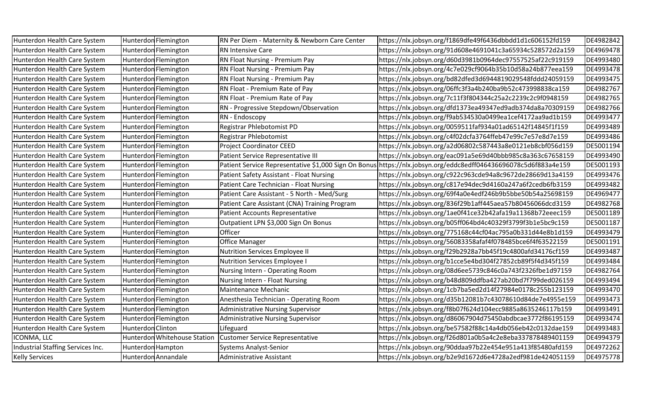| Hunterdon Health Care System      | Hunterdon Flemington         | RN Per Diem - Maternity & Newborn Care Center        | https://nlx.jobsyn.org/f1869dfe49f6436dbbdd1d1c606152fd159 | DE4982842 |
|-----------------------------------|------------------------------|------------------------------------------------------|------------------------------------------------------------|-----------|
| Hunterdon Health Care System      | Hunterdon Flemington         | <b>RN Intensive Care</b>                             | https://nlx.jobsyn.org/91d608e4691041c3a65934c528572d2a159 | DE4969478 |
| Hunterdon Health Care System      | Hunterdon Flemington         | RN Float Nursing - Premium Pay                       | https://nlx.jobsyn.org/d60d3981b0964dec97557525af22c919159 | DE4993480 |
| Hunterdon Health Care System      | Hunterdon Flemington         | RN Float Nursing - Premium Pay                       | https://nlx.jobsyn.org/4c7e029cf9064b35b10d58a24b877eea159 | DE4993478 |
| Hunterdon Health Care System      | Hunterdon Flemington         | RN Float Nursing - Premium Pay                       | https://nlx.jobsyn.org/bd82dfed3d6944819029548fddd24059159 | DE4993475 |
| Hunterdon Health Care System      | Hunterdon Flemington         | RN Float - Premium Rate of Pay                       | https://nlx.jobsyn.org/06ffc3f3a4b240ba9b52c473998838ca159 | DE4982767 |
| Hunterdon Health Care System      | Hunterdon Flemington         | RN Float - Premium Rate of Pay                       | https://nlx.jobsyn.org/7c11f3f804344c25a2c2239c2c9f0948159 | DE4982765 |
| Hunterdon Health Care System      | Hunterdon Flemington         | RN - Progressive Stepdown/Observation                | https://nlx.jobsyn.org/dfd1373ea49347ed9adb374da8a70309159 | DE4982766 |
| Hunterdon Health Care System      | Hunterdon Flemington         | RN - Endoscopy                                       | https://nlx.jobsyn.org/f9ab534530a0499ea1cef4172aa9ad1b159 | DE4993477 |
| Hunterdon Health Care System      | Hunterdon Flemington         | Registrar Phlebotomist PD                            | https://nlx.jobsyn.org/0059511faf934a01ad65142f14845f1f159 | DE4993489 |
| Hunterdon Health Care System      | Hunterdon Flemington         | Registrar Phlebotomist                               | https://nlx.jobsyn.org/c4f02dcfa3764ffeb47e99c7e57e8d7e159 | DE4993486 |
| Hunterdon Health Care System      | Hunterdon Flemington         | <b>Project Coordinator CEED</b>                      | https://nlx.jobsyn.org/a2d06802c587443a8e0121eb8cbf056d159 | DE5001194 |
| Hunterdon Health Care System      | Hunterdon Flemington         | Patient Service Representative III                   | https://nlx.jobsyn.org/eac091a5e69d40bbb985c8a363c67658159 | DE4993490 |
| Hunterdon Health Care System      | Hunterdon Flemington         | Patient Service Representative \$1,000 Sign On Bonus | https://nlx.jobsyn.org/eddc8edff046436696078c5d6f883a4e159 | DE5001193 |
| Hunterdon Health Care System      | Hunterdon Flemington         | Patient Safety Assistant - Float Nursing             | https://nlx.jobsyn.org/c922c963cde94a8c9672de28669d13a4159 | DE4993476 |
| Hunterdon Health Care System      | Hunterdon Flemington         | Patient Care Technician - Float Nursing              | https://nlx.jobsyn.org/c817e94dec9d4160a247a6f2cedb6fb3159 | DE4993482 |
| Hunterdon Health Care System      | Hunterdon Flemington         | Patient Care Assistant - 5 North - Med/Surg          | https://nlx.jobsyn.org/69f4a0e4edf246b9b5bbe50b54a25698159 | DE4969477 |
| Hunterdon Health Care System      | Hunterdon Flemington         | Patient Care Assistant (CNA) Training Program        | https://nlx.jobsyn.org/836f29b1aff445aea57b80456066dcd3159 | DE4982768 |
| Hunterdon Health Care System      | Hunterdon Flemington         | <b>Patient Accounts Representative</b>               | https://nlx.jobsyn.org/1ae0f41ce32b42afa19a11368b72eeec159 | DE5001189 |
| Hunterdon Health Care System      | Hunterdon Flemington         | Outpatient LPN \$3,000 Sign On Bonus                 | https://nlx.jobsyn.org/b05ff064bd4c40329f3799f3b1e5bc9c159 | DE5001187 |
| Hunterdon Health Care System      | Hunterdon Flemington         | Officer                                              | https://nlx.jobsyn.org/775168c44cf04ac795a0b331d44e8b1d159 | DE4993479 |
| Hunterdon Health Care System      | Hunterdon Flemington         | <b>Office Manager</b>                                | https://nlx.jobsyn.org/56083358afaf4f078485bce6f4f63522159 | DE5001191 |
| Hunterdon Health Care System      | Hunterdon Flemington         | <b>Nutrition Services Employee II</b>                | https://nlx.jobsyn.org/f29b2928a7bb45f19c4800afd34176cf159 | DE4993487 |
| Hunterdon Health Care System      | Hunterdon Flemington         | <b>Nutrition Services Employee I</b>                 | https://nlx.jobsyn.org/b1cce5e4bd304f27852cb89f5f4d345f159 | DE4993484 |
| Hunterdon Health Care System      | Hunterdon Flemington         | Nursing Intern - Operating Room                      | https://nlx.jobsyn.org/08d6ee5739c846c0a743f2326fbe1d97159 | DE4982764 |
| Hunterdon Health Care System      | Hunterdon Flemington         | Nursing Intern - Float Nursing                       | https://nlx.jobsyn.org/b48d809ddfba427ab20bd7f799ded026159 | DE4993494 |
| Hunterdon Health Care System      | Hunterdon Flemington         | Maintenance Mechanic                                 | https://nlx.jobsyn.org/1cb7ba5ed2d14f27984e0178c255b123159 | DE4993470 |
| Hunterdon Health Care System      | Hunterdon Flemington         | Anesthesia Technician - Operating Room               | https://nlx.jobsyn.org/d35b12081b7c43078610d84de7e4955e159 | DE4993473 |
| Hunterdon Health Care System      | Hunterdon Flemington         | <b>Administrative Nursing Supervisor</b>             | https://nlx.jobsyn.org/f8b07f624d104ecc9885a8635246117b159 | DE4993491 |
| Hunterdon Health Care System      | Hunterdon Flemington         | <b>Administrative Nursing Supervisor</b>             | https://nlx.jobsyn.org/d86067904d75450abdbcae3772f86195159 | DE4993474 |
| Hunterdon Health Care System      | Hunterdon Clinton            | Lifeguard                                            | https://nlx.jobsyn.org/be57582f88c14a4db056eb42c0132dae159 | DE4993483 |
| ICONMA, LLC                       | Hunterdon Whitehouse Station | <b>Customer Service Representative</b>               | https://nlx.jobsyn.org/f26d801a0b5a4c2e8eba337878489401159 | DE4994379 |
| Industrial Staffing Services Inc. | Hunterdon Hampton            | <b>Systems Analyst-Senior</b>                        | https://nlx.jobsyn.org/90ddaa97b22e454e951a413f85480afd159 | DE4972262 |
| <b>Kelly Services</b>             | Hunterdon Annandale          | <b>Administrative Assistant</b>                      | https://nlx.jobsyn.org/b2e9d1672d6e4728a2edf981de424051159 | DE4975778 |